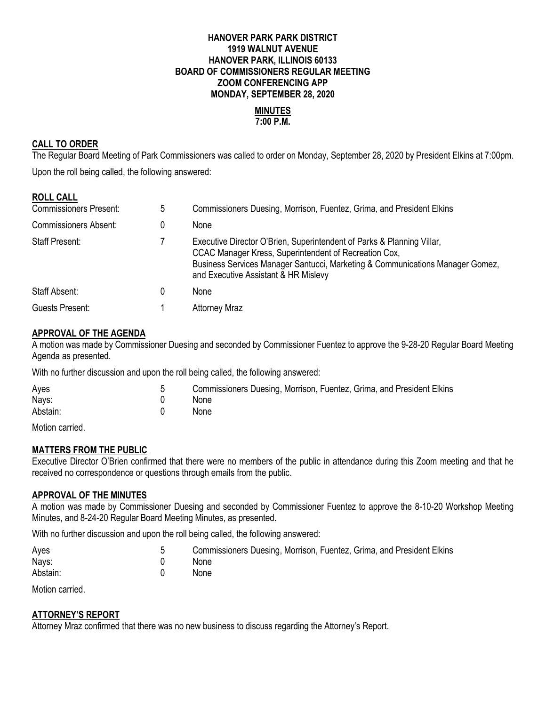### **HANOVER PARK PARK DISTRICT 1919 WALNUT AVENUE HANOVER PARK, ILLINOIS 60133 BOARD OF COMMISSIONERS REGULAR MEETING ZOOM CONFERENCING APP MONDAY, SEPTEMBER 28, 2020**

#### **MINUTES 7:00 P.M.**

### **CALL TO ORDER**

The Regular Board Meeting of Park Commissioners was called to order on Monday, September 28, 2020 by President Elkins at 7:00pm. Upon the roll being called, the following answered:

### **ROLL CALL**

| <b>Commissioners Present:</b> | 5 | Commissioners Duesing, Morrison, Fuentez, Grima, and President Elkins                                                                                                                                                                                    |
|-------------------------------|---|----------------------------------------------------------------------------------------------------------------------------------------------------------------------------------------------------------------------------------------------------------|
| <b>Commissioners Absent:</b>  |   | None                                                                                                                                                                                                                                                     |
| <b>Staff Present:</b>         |   | Executive Director O'Brien, Superintendent of Parks & Planning Villar,<br>CCAC Manager Kress, Superintendent of Recreation Cox,<br>Business Services Manager Santucci, Marketing & Communications Manager Gomez,<br>and Executive Assistant & HR Mislevy |
| Staff Absent:                 |   | None                                                                                                                                                                                                                                                     |
| Guests Present:               |   | <b>Attorney Mraz</b>                                                                                                                                                                                                                                     |

### **APPROVAL OF THE AGENDA**

A motion was made by Commissioner Duesing and seconded by Commissioner Fuentez to approve the 9-28-20 Regular Board Meeting Agenda as presented.

With no further discussion and upon the roll being called, the following answered:

| Ayes<br>Nays: | Commissioners Duesing, Morrison, Fuentez, Grima, and President Elkins<br><b>None</b> |
|---------------|--------------------------------------------------------------------------------------|
| Abstain:      | <b>None</b>                                                                          |
| .             |                                                                                      |

Motion carried.

### **MATTERS FROM THE PUBLIC**

Executive Director O'Brien confirmed that there were no members of the public in attendance during this Zoom meeting and that he received no correspondence or questions through emails from the public.

#### **APPROVAL OF THE MINUTES**

A motion was made by Commissioner Duesing and seconded by Commissioner Fuentez to approve the 8-10-20 Workshop Meeting Minutes, and 8-24-20 Regular Board Meeting Minutes, as presented.

With no further discussion and upon the roll being called, the following answered:

| Ayes     | Commissioners Duesing, Morrison, Fuentez, Grima, and President Elkins |
|----------|-----------------------------------------------------------------------|
| Nays:    | <b>None</b>                                                           |
| Abstain: | None                                                                  |

Motion carried.

# **ATTORNEY'S REPORT**

Attorney Mraz confirmed that there was no new business to discuss regarding the Attorney's Report.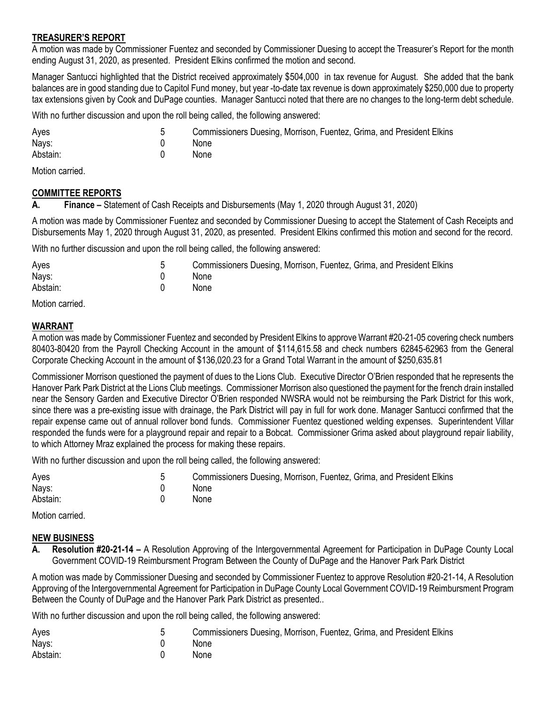#### **TREASURER'S REPORT**

A motion was made by Commissioner Fuentez and seconded by Commissioner Duesing to accept the Treasurer's Report for the month ending August 31, 2020, as presented. President Elkins confirmed the motion and second.

Manager Santucci highlighted that the District received approximately \$504,000 in tax revenue for August. She added that the bank balances are in good standing due to Capitol Fund money, but year -to-date tax revenue is down approximately \$250,000 due to property tax extensions given by Cook and DuPage counties. Manager Santucci noted that there are no changes to the long-term debt schedule.

With no further discussion and upon the roll being called, the following answered:

| Ayes     | Commissioners Duesing, Morrison, Fuentez, Grima, and President Elkins |
|----------|-----------------------------------------------------------------------|
| Nays:    | <b>None</b>                                                           |
| Abstain: | None                                                                  |

Motion carried.

### **COMMITTEE REPORTS**

**A. Finance –** Statement of Cash Receipts and Disbursements (May 1, 2020 through August 31, 2020)

A motion was made by Commissioner Fuentez and seconded by Commissioner Duesing to accept the Statement of Cash Receipts and Disbursements May 1, 2020 through August 31, 2020, as presented. President Elkins confirmed this motion and second for the record.

With no further discussion and upon the roll being called, the following answered:

| Ayes     | Commissioners Duesing, Morrison, Fuentez, Grima, and President Elkins |
|----------|-----------------------------------------------------------------------|
| Nays:    | None                                                                  |
| Abstain: | <b>None</b>                                                           |

Motion carried.

### **WARRANT**

A motion was made by Commissioner Fuentez and seconded by President Elkins to approve Warrant #20-21-05 covering check numbers 80403-80420 from the Payroll Checking Account in the amount of \$114,615.58 and check numbers 62845-62963 from the General Corporate Checking Account in the amount of \$136,020.23 for a Grand Total Warrant in the amount of \$250,635.81

Commissioner Morrison questioned the payment of dues to the Lions Club. Executive Director O'Brien responded that he represents the Hanover Park Park District at the Lions Club meetings. Commissioner Morrison also questioned the payment for the french drain installed near the Sensory Garden and Executive Director O'Brien responded NWSRA would not be reimbursing the Park District for this work, since there was a pre-existing issue with drainage, the Park District will pay in full for work done. Manager Santucci confirmed that the repair expense came out of annual rollover bond funds. Commissioner Fuentez questioned welding expenses. Superintendent Villar responded the funds were for a playground repair and repair to a Bobcat. Commissioner Grima asked about playground repair liability, to which Attorney Mraz explained the process for making these repairs.

With no further discussion and upon the roll being called, the following answered:

| Ayes     | Commissioners Duesing, Morrison, Fuentez, Grima, and President Elkins |
|----------|-----------------------------------------------------------------------|
| Nays:    | <b>None</b>                                                           |
| Abstain: | <b>None</b>                                                           |

Motion carried.

### **NEW BUSINESS**

**A. Resolution #20-21-14 –** A Resolution Approving of the Intergovernmental Agreement for Participation in DuPage County Local Government COVID-19 Reimbursment Program Between the County of DuPage and the Hanover Park Park District

A motion was made by Commissioner Duesing and seconded by Commissioner Fuentez to approve Resolution #20-21-14, A Resolution Approving of the Intergovernmental Agreement for Participation in DuPage County Local Government COVID-19 Reimbursment Program Between the County of DuPage and the Hanover Park Park District as presented..

With no further discussion and upon the roll being called, the following answered:

| Aves     | Commissioners Duesing, Morrison, Fuentez, Grima, and President Elkins |
|----------|-----------------------------------------------------------------------|
| Nays:    | <b>None</b>                                                           |
| Abstain: | <b>None</b>                                                           |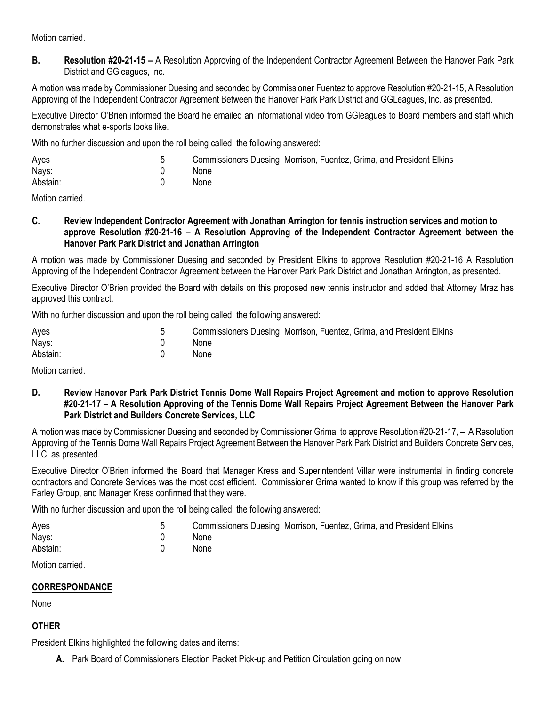Motion carried.

**B. Resolution #20-21-15 –** A Resolution Approving of the Independent Contractor Agreement Between the Hanover Park Park District and GGleagues, Inc.

A motion was made by Commissioner Duesing and seconded by Commissioner Fuentez to approve Resolution #20-21-15, A Resolution Approving of the Independent Contractor Agreement Between the Hanover Park Park District and GGLeagues, Inc. as presented.

Executive Director O'Brien informed the Board he emailed an informational video from GGleagues to Board members and staff which demonstrates what e-sports looks like.

With no further discussion and upon the roll being called, the following answered:

| Ayes     | Commissioners Duesing, Morrison, Fuentez, Grima, and President Elkins |
|----------|-----------------------------------------------------------------------|
| Nays:    | None                                                                  |
| Abstain: | None                                                                  |

Motion carried.

**C. Review Independent Contractor Agreement with Jonathan Arrington for tennis instruction services and motion to approve Resolution #20-21-16 – A Resolution Approving of the Independent Contractor Agreement between the Hanover Park Park District and Jonathan Arrington**

A motion was made by Commissioner Duesing and seconded by President Elkins to approve Resolution #20-21-16 A Resolution Approving of the Independent Contractor Agreement between the Hanover Park Park District and Jonathan Arrington, as presented.

Executive Director O'Brien provided the Board with details on this proposed new tennis instructor and added that Attorney Mraz has approved this contract.

With no further discussion and upon the roll being called, the following answered:

| Ayes     | Commissioners Duesing, Morrison, Fuentez, Grima, and President Elkins |
|----------|-----------------------------------------------------------------------|
| Nays:    | <b>None</b>                                                           |
| Abstain: | <b>None</b>                                                           |

Motion carried.

**D. Review Hanover Park Park District Tennis Dome Wall Repairs Project Agreement and motion to approve Resolution #20-21-17 – A Resolution Approving of the Tennis Dome Wall Repairs Project Agreement Between the Hanover Park Park District and Builders Concrete Services, LLC**

A motion was made by Commissioner Duesing and seconded by Commissioner Grima, to approve Resolution #20-21-17, – A Resolution Approving of the Tennis Dome Wall Repairs Project Agreement Between the Hanover Park Park District and Builders Concrete Services, LLC, as presented.

Executive Director O'Brien informed the Board that Manager Kress and Superintendent Villar were instrumental in finding concrete contractors and Concrete Services was the most cost efficient. Commissioner Grima wanted to know if this group was referred by the Farley Group, and Manager Kress confirmed that they were.

With no further discussion and upon the roll being called, the following answered:

| Ayes     | Commissioners Duesing, Morrison, Fuentez, Grima, and President Elkins |
|----------|-----------------------------------------------------------------------|
| Nays:    | None                                                                  |
| Abstain: | <b>None</b>                                                           |

Motion carried.

### **CORRESPONDANCE**

None

## **OTHER**

President Elkins highlighted the following dates and items:

**A.** Park Board of Commissioners Election Packet Pick-up and Petition Circulation going on now